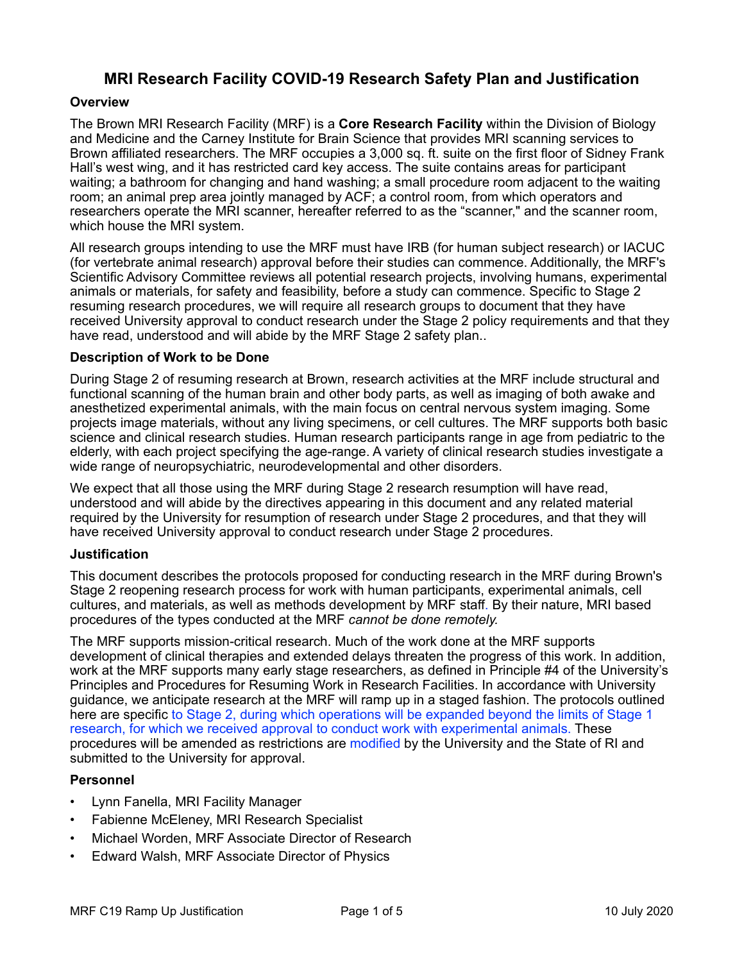# **MRI Research Facility COVID-19 Research Safety Plan and Justification**

## **Overview**

The Brown MRI Research Facility (MRF) is a **Core Research Facility** within the Division of Biology and Medicine and the Carney Institute for Brain Science that provides MRI scanning services to Brown affiliated researchers. The MRF occupies a 3,000 sq. ft. suite on the first floor of Sidney Frank Hall's west wing, and it has restricted card key access. The suite contains areas for participant waiting; a bathroom for changing and hand washing; a small procedure room adjacent to the waiting room; an animal prep area jointly managed by ACF; a control room, from which operators and researchers operate the MRI scanner, hereafter referred to as the "scanner," and the scanner room, which house the MRI system.

All research groups intending to use the MRF must have IRB (for human subject research) or IACUC (for vertebrate animal research) approval before their studies can commence. Additionally, the MRF's Scientific Advisory Committee reviews all potential research projects, involving humans, experimental animals or materials, for safety and feasibility, before a study can commence. Specific to Stage 2 resuming research procedures, we will require all research groups to document that they have received University approval to conduct research under the Stage 2 policy requirements and that they have read, understood and will abide by the MRF Stage 2 safety plan..

## **Description of Work to be Done**

During Stage 2 of resuming research at Brown, research activities at the MRF include structural and functional scanning of the human brain and other body parts, as well as imaging of both awake and anesthetized experimental animals, with the main focus on central nervous system imaging. Some projects image materials, without any living specimens, or cell cultures. The MRF supports both basic science and clinical research studies. Human research participants range in age from pediatric to the elderly, with each project specifying the age-range. A variety of clinical research studies investigate a wide range of neuropsychiatric, neurodevelopmental and other disorders.

We expect that all those using the MRF during Stage 2 research resumption will have read, understood and will abide by the directives appearing in this document and any related material required by the University for resumption of research under Stage 2 procedures, and that they will have received University approval to conduct research under Stage 2 procedures.

#### **Justification**

This document describes the protocols proposed for conducting research in the MRF during Brown's Stage 2 reopening research process for work with human participants, experimental animals, cell cultures, and materials, as well as methods development by MRF staff. By their nature, MRI based procedures of the types conducted at the MRF *cannot be done remotely.* 

The MRF supports mission-critical research. Much of the work done at the MRF supports development of clinical therapies and extended delays threaten the progress of this work. In addition, work at the MRF supports many early stage researchers, as defined in Principle #4 of the University's Principles and Procedures for Resuming Work in Research Facilities. In accordance with University guidance, we anticipate research at the MRF will ramp up in a staged fashion. The protocols outlined here are specific to Stage 2, during which operations will be expanded beyond the limits of Stage 1 research, for which we received approval to conduct work with experimental animals. These procedures will be amended as restrictions are modified by the University and the State of RI and submitted to the University for approval.

#### **Personnel**

- Lynn Fanella, MRI Facility Manager
- Fabienne McEleney, MRI Research Specialist
- Michael Worden, MRF Associate Director of Research
- Edward Walsh, MRF Associate Director of Physics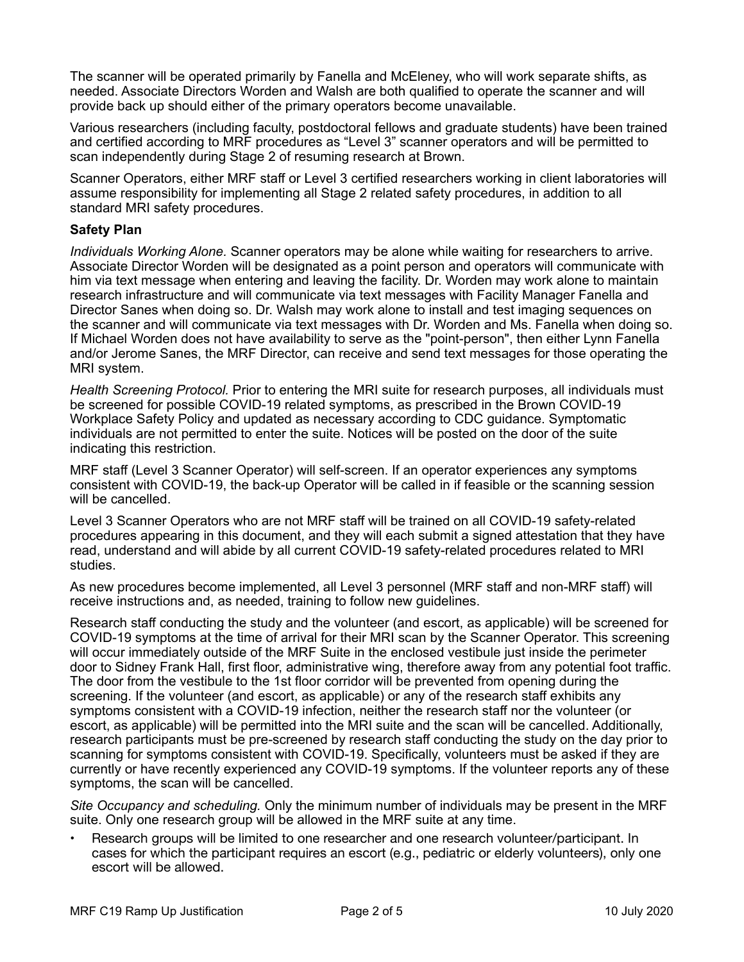The scanner will be operated primarily by Fanella and McEleney, who will work separate shifts, as needed. Associate Directors Worden and Walsh are both qualified to operate the scanner and will provide back up should either of the primary operators become unavailable.

Various researchers (including faculty, postdoctoral fellows and graduate students) have been trained and certified according to MRF procedures as "Level 3" scanner operators and will be permitted to scan independently during Stage 2 of resuming research at Brown.

Scanner Operators, either MRF staff or Level 3 certified researchers working in client laboratories will assume responsibility for implementing all Stage 2 related safety procedures, in addition to all standard MRI safety procedures.

## **Safety Plan**

*Individuals Working Alone.* Scanner operators may be alone while waiting for researchers to arrive. Associate Director Worden will be designated as a point person and operators will communicate with him via text message when entering and leaving the facility. Dr. Worden may work alone to maintain research infrastructure and will communicate via text messages with Facility Manager Fanella and Director Sanes when doing so. Dr. Walsh may work alone to install and test imaging sequences on the scanner and will communicate via text messages with Dr. Worden and Ms. Fanella when doing so. If Michael Worden does not have availability to serve as the "point-person", then either Lynn Fanella and/or Jerome Sanes, the MRF Director, can receive and send text messages for those operating the MRI system.

*Health Screening Protocol.* Prior to entering the MRI suite for research purposes, all individuals must be screened for possible COVID-19 related symptoms, as prescribed in the Brown COVID-19 Workplace Safety Policy and updated as necessary according to CDC guidance. Symptomatic individuals are not permitted to enter the suite. Notices will be posted on the door of the suite indicating this restriction.

MRF staff (Level 3 Scanner Operator) will self-screen. If an operator experiences any symptoms consistent with COVID-19, the back-up Operator will be called in if feasible or the scanning session will be cancelled.

Level 3 Scanner Operators who are not MRF staff will be trained on all COVID-19 safety-related procedures appearing in this document, and they will each submit a signed attestation that they have read, understand and will abide by all current COVID-19 safety-related procedures related to MRI studies.

As new procedures become implemented, all Level 3 personnel (MRF staff and non-MRF staff) will receive instructions and, as needed, training to follow new guidelines.

Research staff conducting the study and the volunteer (and escort, as applicable) will be screened for COVID-19 symptoms at the time of arrival for their MRI scan by the Scanner Operator. This screening will occur immediately outside of the MRF Suite in the enclosed vestibule just inside the perimeter door to Sidney Frank Hall, first floor, administrative wing, therefore away from any potential foot traffic. The door from the vestibule to the 1st floor corridor will be prevented from opening during the screening. If the volunteer (and escort, as applicable) or any of the research staff exhibits any symptoms consistent with a COVID-19 infection, neither the research staff nor the volunteer (or escort, as applicable) will be permitted into the MRI suite and the scan will be cancelled. Additionally, research participants must be pre-screened by research staff conducting the study on the day prior to scanning for symptoms consistent with COVID-19. Specifically, volunteers must be asked if they are currently or have recently experienced any COVID-19 symptoms. If the volunteer reports any of these symptoms, the scan will be cancelled.

*Site Occupancy and scheduling.* Only the minimum number of individuals may be present in the MRF suite. Only one research group will be allowed in the MRF suite at any time.

• Research groups will be limited to one researcher and one research volunteer/participant. In cases for which the participant requires an escort (e.g., pediatric or elderly volunteers), only one escort will be allowed.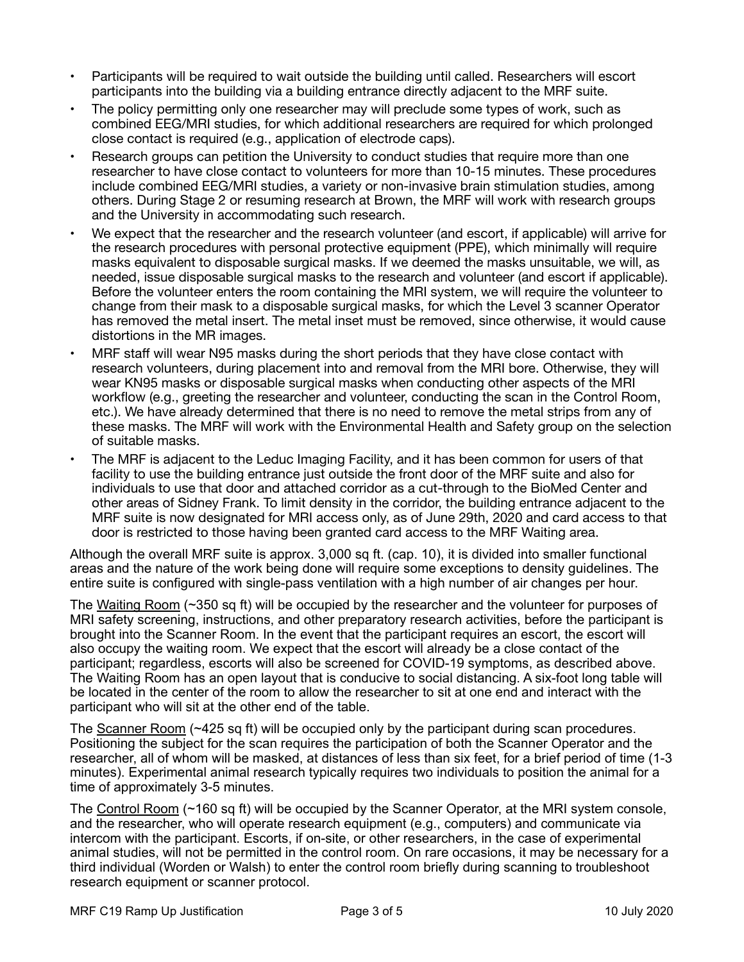- Participants will be required to wait outside the building until called. Researchers will escort participants into the building via a building entrance directly adjacent to the MRF suite.
- The policy permitting only one researcher may will preclude some types of work, such as combined EEG/MRI studies, for which additional researchers are required for which prolonged close contact is required (e.g., application of electrode caps).
- Research groups can petition the University to conduct studies that require more than one researcher to have close contact to volunteers for more than 10-15 minutes. These procedures include combined EEG/MRI studies, a variety or non-invasive brain stimulation studies, among others. During Stage 2 or resuming research at Brown, the MRF will work with research groups and the University in accommodating such research.
- We expect that the researcher and the research volunteer (and escort, if applicable) will arrive for the research procedures with personal protective equipment (PPE), which minimally will require masks equivalent to disposable surgical masks. If we deemed the masks unsuitable, we will, as needed, issue disposable surgical masks to the research and volunteer (and escort if applicable). Before the volunteer enters the room containing the MRI system, we will require the volunteer to change from their mask to a disposable surgical masks, for which the Level 3 scanner Operator has removed the metal insert. The metal inset must be removed, since otherwise, it would cause distortions in the MR images.
- MRF staff will wear N95 masks during the short periods that they have close contact with research volunteers, during placement into and removal from the MRI bore. Otherwise, they will wear KN95 masks or disposable surgical masks when conducting other aspects of the MRI workflow (e.g., greeting the researcher and volunteer, conducting the scan in the Control Room, etc.). We have already determined that there is no need to remove the metal strips from any of these masks. The MRF will work with the Environmental Health and Safety group on the selection of suitable masks.
- The MRF is adjacent to the Leduc Imaging Facility, and it has been common for users of that facility to use the building entrance just outside the front door of the MRF suite and also for individuals to use that door and attached corridor as a cut-through to the BioMed Center and other areas of Sidney Frank. To limit density in the corridor, the building entrance adjacent to the MRF suite is now designated for MRI access only, as of June 29th, 2020 and card access to that door is restricted to those having been granted card access to the MRF Waiting area.

Although the overall MRF suite is approx. 3,000 sq ft. (cap. 10), it is divided into smaller functional areas and the nature of the work being done will require some exceptions to density guidelines. The entire suite is configured with single-pass ventilation with a high number of air changes per hour.

The Waiting Room (~350 sq ft) will be occupied by the researcher and the volunteer for purposes of MRI safety screening, instructions, and other preparatory research activities, before the participant is brought into the Scanner Room. In the event that the participant requires an escort, the escort will also occupy the waiting room. We expect that the escort will already be a close contact of the participant; regardless, escorts will also be screened for COVID-19 symptoms, as described above. The Waiting Room has an open layout that is conducive to social distancing. A six-foot long table will be located in the center of the room to allow the researcher to sit at one end and interact with the participant who will sit at the other end of the table.

The Scanner Room (~425 sq ft) will be occupied only by the participant during scan procedures. Positioning the subject for the scan requires the participation of both the Scanner Operator and the researcher, all of whom will be masked, at distances of less than six feet, for a brief period of time (1-3 minutes). Experimental animal research typically requires two individuals to position the animal for a time of approximately 3-5 minutes.

The Control Room (~160 sq ft) will be occupied by the Scanner Operator, at the MRI system console, and the researcher, who will operate research equipment (e.g., computers) and communicate via intercom with the participant. Escorts, if on-site, or other researchers, in the case of experimental animal studies, will not be permitted in the control room. On rare occasions, it may be necessary for a third individual (Worden or Walsh) to enter the control room briefly during scanning to troubleshoot research equipment or scanner protocol.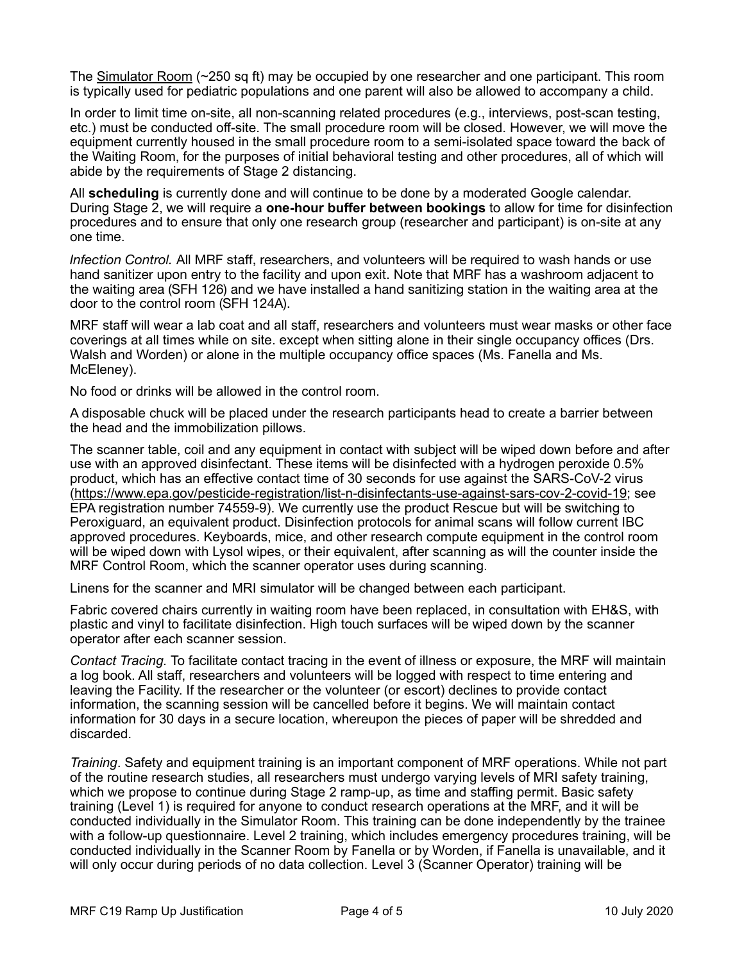The Simulator Room (~250 sq ft) may be occupied by one researcher and one participant. This room is typically used for pediatric populations and one parent will also be allowed to accompany a child.

In order to limit time on-site, all non-scanning related procedures (e.g., interviews, post-scan testing, etc.) must be conducted off-site. The small procedure room will be closed. However, we will move the equipment currently housed in the small procedure room to a semi-isolated space toward the back of the Waiting Room, for the purposes of initial behavioral testing and other procedures, all of which will abide by the requirements of Stage 2 distancing.

All **scheduling** is currently done and will continue to be done by a moderated Google calendar. During Stage 2, we will require a **one-hour buffer between bookings** to allow for time for disinfection procedures and to ensure that only one research group (researcher and participant) is on-site at any one time.

*Infection Control.* All MRF staff, researchers, and volunteers will be required to wash hands or use hand sanitizer upon entry to the facility and upon exit. Note that MRF has a washroom adjacent to the waiting area (SFH 126) and we have installed a hand sanitizing station in the waiting area at the door to the control room (SFH 124A).

MRF staff will wear a lab coat and all staff, researchers and volunteers must wear masks or other face coverings at all times while on site. except when sitting alone in their single occupancy offices (Drs. Walsh and Worden) or alone in the multiple occupancy office spaces (Ms. Fanella and Ms. McEleney).

No food or drinks will be allowed in the control room.

A disposable chuck will be placed under the research participants head to create a barrier between the head and the immobilization pillows.

The scanner table, coil and any equipment in contact with subject will be wiped down before and after use with an approved disinfectant. These items will be disinfected with a hydrogen peroxide 0.5% product, which has an effective contact time of 30 seconds for use against the SARS-CoV-2 virus [\(https://www.epa.gov/pesticide-registration/list-n-disinfectants-use-against-sars-cov-2-covid-19](https://www.epa.gov/pesticide-registration/list-n-disinfectants-use-against-sars-cov-2-covid-19); see EPA registration number 74559-9). We currently use the product Rescue but will be switching to Peroxiguard, an equivalent product. Disinfection protocols for animal scans will follow current IBC approved procedures. Keyboards, mice, and other research compute equipment in the control room will be wiped down with Lysol wipes, or their equivalent, after scanning as will the counter inside the MRF Control Room, which the scanner operator uses during scanning.

Linens for the scanner and MRI simulator will be changed between each participant.

Fabric covered chairs currently in waiting room have been replaced, in consultation with EH&S, with plastic and vinyl to facilitate disinfection. High touch surfaces will be wiped down by the scanner operator after each scanner session.

*Contact Tracing.* To facilitate contact tracing in the event of illness or exposure, the MRF will maintain a log book. All staff, researchers and volunteers will be logged with respect to time entering and leaving the Facility. If the researcher or the volunteer (or escort) declines to provide contact information, the scanning session will be cancelled before it begins. We will maintain contact information for 30 days in a secure location, whereupon the pieces of paper will be shredded and discarded.

*Training*. Safety and equipment training is an important component of MRF operations. While not part of the routine research studies, all researchers must undergo varying levels of MRI safety training, which we propose to continue during Stage 2 ramp-up, as time and staffing permit. Basic safety training (Level 1) is required for anyone to conduct research operations at the MRF, and it will be conducted individually in the Simulator Room. This training can be done independently by the trainee with a follow-up questionnaire. Level 2 training, which includes emergency procedures training, will be conducted individually in the Scanner Room by Fanella or by Worden, if Fanella is unavailable, and it will only occur during periods of no data collection. Level 3 (Scanner Operator) training will be